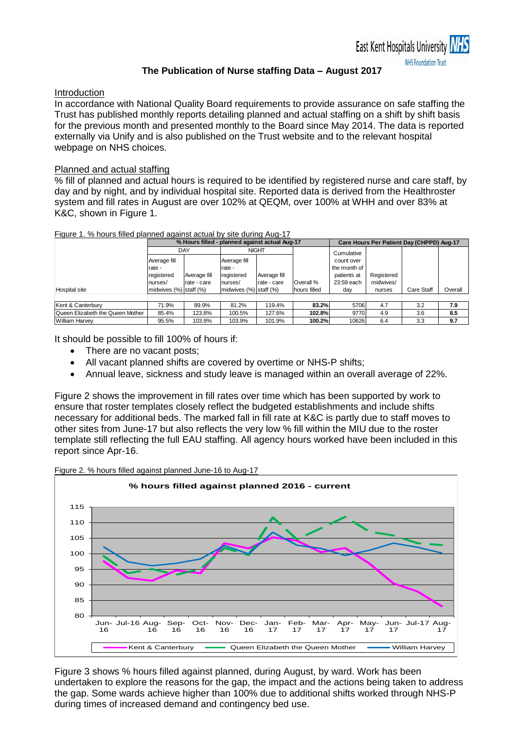## **The Publication of Nurse staffing Data – August 2017**

#### Introduction

In accordance with National Quality Board requirements to provide assurance on safe staffing the Trust has published monthly reports detailing planned and actual staffing on a shift by shift basis for the previous month and presented monthly to the Board since May 2014. The data is reported externally via Unify and is also published on the Trust website and to the relevant hospital webpage on NHS choices.

## Planned and actual staffing

% fill of planned and actual hours is required to be identified by registered nurse and care staff, by day and by night, and by individual hospital site. Reported data is derived from the Healthroster system and fill rates in August are over 102% at QEQM, over 100% at WHH and over 83% at K&C, shown in Figure 1.

| Figure 1. % hours filled planned against actual by site during Aug-17 |  |  |  |  |  |
|-----------------------------------------------------------------------|--|--|--|--|--|
|                                                                       |  |  |  |  |  |

|                                  |                              |              | % Hours filled - planned against actual Aug-17 | Care Hours Per Patient Day (CHPPD) Aug-17 |              |              |            |            |         |
|----------------------------------|------------------------------|--------------|------------------------------------------------|-------------------------------------------|--------------|--------------|------------|------------|---------|
|                                  |                              | DAY          | <b>NIGHT</b>                                   |                                           |              | Cumulative   |            |            |         |
|                                  | Average fill                 |              | Average fill                                   |                                           |              | count over   |            |            |         |
|                                  | rate -                       |              | rate -                                         |                                           |              | the month of |            |            |         |
|                                  | registered                   | Average fill | registered                                     | Average fill                              |              | patients at  | Registered |            |         |
|                                  | nurses/                      | rate - care  | nurses/                                        | rate - care                               | Overall %    | 23:59 each   | midwives/  |            |         |
| <b>Hospital site</b>             | midwives $(\%)$ staff $(\%)$ |              | midwives $(\%)$ staff $(\%)$                   |                                           | hours filled | day          | nurses     | Care Staff | Overall |
|                                  |                              |              |                                                |                                           |              |              |            |            |         |
| Kent & Canterbury                | 71.9%                        | 89.9%        | 81.2%                                          | 119.4%                                    | 83.2%        | 5706         | 4.7        | 3.2        | 7.9     |
| Queen Elizabeth the Queen Mother | 85.4%                        | 123.8%       | 100.5%                                         | 127.6%                                    | 102.8%       | 9770         | 4.9        | 3.6        | 8.5     |
| <b>William Harvey</b>            | 95.5%                        | 103.9%       | 103.9%                                         | 101.9%                                    | 100.2%       | 10626        | 6.4        | 3.3        | 9.7     |

It should be possible to fill 100% of hours if:

- There are no vacant posts;
- All vacant planned shifts are covered by overtime or NHS-P shifts;
- Annual leave, sickness and study leave is managed within an overall average of 22%.

Figure 2 shows the improvement in fill rates over time which has been supported by work to ensure that roster templates closely reflect the budgeted establishments and include shifts necessary for additional beds. The marked fall in fill rate at K&C is partly due to staff moves to other sites from June-17 but also reflects the very low % fill within the MIU due to the roster template still reflecting the full EAU staffing. All agency hours worked have been included in this report since Apr-16.



Figure 3 shows % hours filled against planned, during August, by ward. Work has been undertaken to explore the reasons for the gap, the impact and the actions being taken to address the gap. Some wards achieve higher than 100% due to additional shifts worked through NHS-P during times of increased demand and contingency bed use.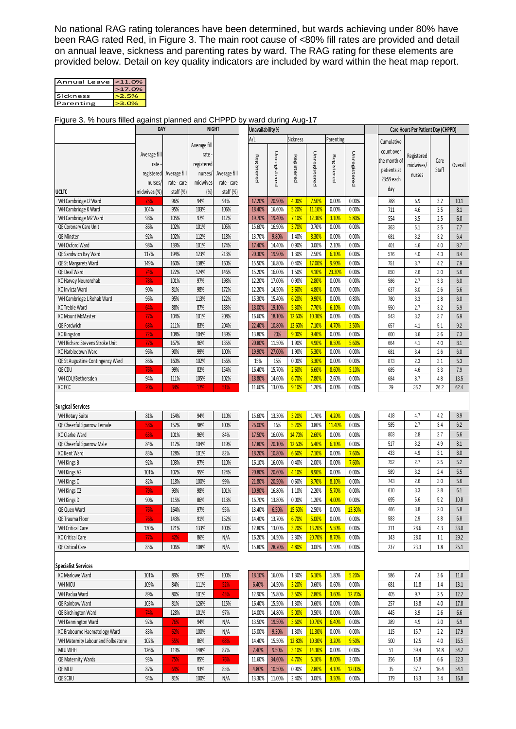No national RAG rating tolerances have been determined, but wards achieving under 80% have been RAG rated Red, in Figure 3. The main root cause of <80% fill rates are provided and detail on annual leave, sickness and parenting rates by ward. The RAG rating for these elements are provided below. Detail on key quality indicators are included by ward within the heat map report.

| Annual Leave <11.0% |         |
|---------------------|---------|
|                     | >17.0%  |
| Sickness            | >2.5%   |
| Parenting           | $-3.0%$ |

#### Figure 3. % hours filled against planned and CHPPD by ward during Aug-17

| <b>Sickness</b><br>A/L<br>Parenting<br>Cumulative<br>Average fill<br>count over<br>Unregistered<br>Unregistered<br>Unregistered<br>Average fill<br>rate<br>Registered<br>Registered<br>Registered<br>Registered<br>the month of<br>Care<br>registered<br>rate<br>midwives/<br>Overall<br>Staff<br>patients at<br>registered<br>Average fill<br>nurses/<br>Average fill<br>nurses<br>23:59 each<br>midwives<br>nurses/<br>rate - care<br>rate - care<br>day<br>staff (%)<br>(%)<br>staff (%)<br>ucltc<br>midwives (%)<br>WH Cambridge J2 Ward<br>7.50%<br>96%<br>94%<br>91%<br>17.20%<br>20.90%<br>4.00%<br>0.00%<br>0.00%<br>788<br>6.9<br>3.2<br>10.1<br>75%<br>95%<br>103%<br>106%<br>18.40%<br>16.60%<br>5.20%<br>11.10%<br>0.00%<br>0.00%<br>WH Cambridge K Ward<br>104%<br>711<br>3.5<br>4.6<br>8.1<br>98%<br>105%<br>97%<br>112%<br>19.70%<br>19.40%<br>7.10%<br>12.30%<br>3.10%<br>5.80%<br>WH Cambridge M2 Ward<br>554<br>3.5<br>2.5<br>6.0<br>102%<br>101%<br>16.90%<br>3.70%<br>0.00%<br>0.00%<br>QE Coronary Care Unit<br>86%<br>105%<br>15.60%<br>0.70%<br>5.1<br>7.7<br>363<br>2.5<br>QE Minster<br>92%<br>102%<br>112%<br>118%<br>13.70%<br>9.80%<br>1.40%<br>8.30%<br>0.00%<br>0.00%<br>3.2<br>681<br>3.2<br>6.4<br>98%<br>139%<br>101%<br>174%<br>17.40%<br>14.40%<br>0.90%<br>0.00%<br>2.10%<br>0.00%<br>WH Oxford Ward<br>401<br>4.6<br>4.0<br>8.7<br>194%<br>213%<br>20.30%<br>1.30%<br>6.10%<br>0.00%<br>QE Sandwich Bay Ward<br>117%<br>123%<br>19.90%<br>2.50%<br>576<br>4.0<br>4.3<br>8.4<br>160%<br>160%<br>0.40%<br>17.00%<br>9.90%<br>QE St Margarets Ward<br>149%<br>138%<br>15.50%<br>16.80%<br>0.00%<br>3.7<br>4.2<br>7.9<br>751<br>122%<br>124%<br>146%<br>15.20%<br>16.00%<br>1.50%<br>4.10%<br>23.30%<br>0.00%<br>2.6<br>QE Deal Ward<br>850<br>3.0<br>5.6<br>74%<br>101%<br>97%<br>198%<br>12.20%<br>17.00%<br>0.90%<br>2.80%<br>0.00%<br>2.7<br>KC Harvey Neurorehab<br>78%<br>0.00%<br>586<br>3.3<br>6.0<br>81%<br>98%<br>172%<br>12.20%<br>14.50%<br>3.60%<br>4.80%<br>KC Invicta Ward<br>90%<br>0.00%<br>0.00%<br>637<br>3.0<br>2.6<br>5.6<br>WH Cambridge L Rehab Ward<br>96%<br>95%<br>113%<br>122%<br>15.30%<br>15.40%<br>6.20%<br>9.90%<br>0.00%<br>0.80%<br>3.3<br>780<br>2.8<br>6.0<br>7.70%<br>88%<br>87%<br>183%<br>18.00%<br>5.30%<br>6.10%<br>0.00%<br>2.7<br>3.2<br><b>KC Treble Ward</b><br>64%<br>19.10%<br>550<br>5.9<br>12.60%<br>10.30%<br>104%<br>16.60%<br>0.00%<br>0.00%<br><b>KC Mount McMaster</b><br>77%<br>101%<br>208%<br>18.10%<br>543<br>3.2<br>3.7<br>6.9<br>QE Fordwich<br>211%<br>83%<br>204%<br>12.60%<br>5.1<br>9.2<br>22.40%<br>10.80%<br>7.10%<br>4.70%<br>3.50%<br>657<br>4.1<br>68%<br><b>KC Kingston</b><br>108%<br>139%<br>13.80%<br>$20%$<br>9.00%<br>9.40%<br>0.00%<br>0.00%<br>3.6<br>104%<br>600<br>3.6<br>7.3<br>72%<br>WH Richard Stevens Stroke Unit<br>167%<br>96%<br>135%<br>20.80%<br>11.50%<br>1.90%<br>4.90%<br>8.50%<br>5.60%<br>664<br>4.1<br>4.0<br>8.1<br>77%<br>96%<br>90%<br>99%<br>100%<br>19.90%<br>27.00%<br>1.90%<br>5.30%<br>0.00%<br>0.00%<br>3.4<br>KC Harbledown Ward<br>681<br>2.6<br>$6.0\,$<br>15%<br>15%<br>86%<br>160%<br>102%<br>156%<br>0.00%<br>3.30%<br>0.00%<br>0.00%<br>QE St Augustine Contingency Ward<br>873<br>2.3<br>3.1<br>5.3<br>99%<br>15.70%<br>2.60%<br>6.60%<br>5.10%<br>QE CDU<br>82%<br>154%<br>16.40%<br>8.60%<br>4.6<br>3.3<br>7.9<br>76%<br>685<br>WH CDU/Bethersden<br>94%<br>111%<br>105%<br>102%<br>14.60%<br>6.70%<br>7.80%<br>18.80%<br>2.60%<br>0.00%<br>684<br>8.7<br>4.8<br>13.5<br>KC ECC<br>11.60%<br>13.00%<br>9.10%<br>1.20%<br>0.00%<br>36.2<br>26.2<br>34%<br>17%<br>51%<br>0.00%<br>29<br>62.4<br>20%<br><b>Surgical Services</b><br>13.30%<br>418<br>4.7<br>4.2<br>154%<br>3.20%<br>1.70%<br>4.20%<br>0.00%<br>8.9<br>81%<br>94%<br>110%<br>15.60%<br>WH Rotary Suite<br>5.20%<br>152%<br>16%<br>11.40%<br>585<br>2.7<br>3.4<br>6.2<br>QE Cheerful Sparrow Female<br>58%<br>98%<br>100%<br>26.00%<br>0.80%<br>0.00%<br><b>KC Clarke Ward</b><br>84%<br>16.00%<br>14.70%<br>2.60%<br>0.00%<br>803<br>2.8<br>2.7<br>5.6<br>63%<br>101%<br>96%<br>17.50%<br>0.00%<br>12.60%<br>6.40%<br>6.10%<br>517<br>QE Cheerful Sparrow Male<br>84%<br>112%<br>104%<br>119%<br>17.80%<br>20.10%<br>0.00%<br>3.2<br>4.9<br>8.1<br>3.1<br>128%<br>82%<br>10.80%<br>6.60%<br>7.10%<br>0.00%<br>7.60%<br>433<br>4.9<br>8.0<br>83%<br>101%<br>18.20%<br>KC Kent Ward<br>752<br>2.7<br>2.5<br>5.2<br>7.60%<br>92%<br>103%<br>97%<br>16.10%<br>16.00%<br>0.40%<br>2.00%<br>0.00%<br>WH Kings B<br>110%<br>589<br>3.2<br>2.4<br>5.5<br>102%<br>95%<br>20.60%<br>8.90%<br>0.00%<br>WH Kings A2<br>101%<br>124%<br>20.80%<br>4.10%<br>0.00%<br>2.6<br>WH Kings C<br>99%<br>0.60%<br>3.70%<br>8.10%<br>743<br>3.0<br>5.6<br>82%<br>118%<br>100%<br>21.80%<br>20.50%<br>0.00%<br>WH Kings C2<br>16.80%<br>1.10%<br>5.70%<br>2.8<br>79%<br>93%<br>98%<br>101%<br>10.90%<br>2.20%<br>0.00%<br>610<br>3.3<br>6.1<br>695<br>5.6<br>5.2<br>115%<br>86%<br>13.80%<br>0.00%<br>1.20%<br>4.00%<br>10.8<br>90%<br>113%<br>0.00%<br>WH Kings D<br>16.70%<br>466<br>3.8<br>2.0<br>5.8<br>97%<br>95%<br>15.50%<br>2.50%<br>0.00%<br>13.30%<br>164%<br>13.40%<br>6.50%<br>QE Quex Ward<br>76%<br>583<br>2.9<br>3.8<br>QE Trauma Floor<br>76%<br>143%<br>91%<br>152%<br>14.40%<br>13.70%<br>6.70%<br>5.00%<br>0.00%<br>0.00%<br>6.8<br><b>WH Critical Care</b><br>130%<br>121%<br>133%<br>100%<br>12.80%<br>13.00%<br>3.20%<br>13.20%<br>5.50%<br>0.00%<br>311<br>28.6<br>4.3<br>33.0<br><b>KC Critical Care</b><br>14.50%<br>20.70%<br>8.70%<br>77%<br>42%<br>86%<br>N/A<br>16.20%<br>2.30%<br>0.00%<br>143<br>28.0<br>1.1<br>29.2<br>106%<br>N/A<br>28.70%<br>4.80%<br>1.90%<br>237<br>85%<br>108%<br>15.80%<br>0.00%<br>0.00%<br>23.3<br>1.8<br>25.1<br>QE Critical Care<br><b>Specialist Services</b><br>101%<br>97%<br>100%<br>16.00%<br>1.30%<br>6.10%<br>1.80%<br>5.20%<br><b>KC Marlowe Ward</b><br>89%<br>18.10%<br>586<br>7.4<br>3.6<br>$11.0$<br>52%<br>3.20%<br>0.60%<br><b>WH NICU</b><br>109%<br>84%<br>111%<br>6.40%<br>14.50%<br>0.60%<br>0.00%<br>681<br>11.8<br>1.4<br>13.1<br>WH Padua Ward<br>89%<br>80%<br>101%<br>45%<br>12.90%<br>15.80%<br>3.50%<br>2.80%<br>3.60%<br>12.70%<br>405<br>9.7<br>2.5<br>12.2<br>QE Rainbow Ward<br>103%<br>81%<br>126%<br>16.40%<br>15.50%<br>1.30%<br>0.60%<br>0.00%<br>0.00%<br>257<br>13.8<br>17.8<br>115%<br>4.0<br>14.80%<br>5.00%<br>QE Birchington Ward<br>74%<br>128%<br>101%<br>97%<br>14.00%<br>0.50%<br>0.00%<br>0.00%<br>445<br>3.9<br>2.6<br>6.6<br>92%<br>N/A<br>13.50%<br>19.50%<br>3.60%<br>10.70%<br>6.40%<br>289<br>4.9<br>2.0<br>$6.9\,$<br>WH Kennington Ward<br>76%<br>94%<br>0.00%<br>11.30%<br>0.00%<br>KC Brabourne Haematology Ward<br>83%<br>100%<br>N/A<br>15.00%<br>9.30%<br>1.30%<br>0.00%<br>115<br>15.7<br>2.2<br>17.9<br>62%<br>WH Maternity Labour and Folkestone<br>102%<br>55%<br>86%<br>14.40%<br>15.50%<br>12.80%<br>10.30%<br>3.20%<br>9.50%<br>500<br>12.5<br>16.5<br>68%<br>4.0<br>126%<br>119%<br>148%<br>87%<br>7.40%<br>9.50%<br>3.10%<br>14.30%<br>0.00%<br>0.00%<br>51<br>39.4<br>54.2<br><b>MLU WHH</b><br>14.8<br>8.00%<br>93%<br>75%<br>76%<br>11.60%<br>34.60%<br>4.70%<br>5.10%<br>3.00%<br>356<br>15.8<br>QE Maternity Wards<br>85%<br>6.6<br>22.3<br>93%<br>85%<br>4.80%<br>0.90%<br>2.80%<br>4.10%<br>12.00%<br>37.7<br>54.1<br>QE MLU<br>87%<br>69%<br>10.50%<br>35<br>16.4 |         | DAY |     | <b>NIGHT</b> |     | Unavailability % |        |       |       | <b>Care Hours Per Patient Day (CHPPD)</b> |       |     |      |     |      |
|----------------------------------------------------------------------------------------------------------------------------------------------------------------------------------------------------------------------------------------------------------------------------------------------------------------------------------------------------------------------------------------------------------------------------------------------------------------------------------------------------------------------------------------------------------------------------------------------------------------------------------------------------------------------------------------------------------------------------------------------------------------------------------------------------------------------------------------------------------------------------------------------------------------------------------------------------------------------------------------------------------------------------------------------------------------------------------------------------------------------------------------------------------------------------------------------------------------------------------------------------------------------------------------------------------------------------------------------------------------------------------------------------------------------------------------------------------------------------------------------------------------------------------------------------------------------------------------------------------------------------------------------------------------------------------------------------------------------------------------------------------------------------------------------------------------------------------------------------------------------------------------------------------------------------------------------------------------------------------------------------------------------------------------------------------------------------------------------------------------------------------------------------------------------------------------------------------------------------------------------------------------------------------------------------------------------------------------------------------------------------------------------------------------------------------------------------------------------------------------------------------------------------------------------------------------------------------------------------------------------------------------------------------------------------------------------------------------------------------------------------------------------------------------------------------------------------------------------------------------------------------------------------------------------------------------------------------------------------------------------------------------------------------------------------------------------------------------------------------------------------------------------------------------------------------------------------------------------------------------------------------------------------------------------------------------------------------------------------------------------------------------------------------------------------------------------------------------------------------------------------------------------------------------------------------------------------------------------------------------------------------------------------------------------------------------------------------------------------------------------------------------------------------------------------------------------------------------------------------------------------------------------------------------------------------------------------------------------------------------------------------------------------------------------------------------------------------------------------------------------------------------------------------------------------------------------------------------------------------------------------------------------------------------------------------------------------------------------------------------------------------------------------------------------------------------------------------------------------------------------------------------------------------------------------------------------------------------------------------------------------------------------------------------------------------------------------------------------------------------------------------------------------------------------------------------------------------------------------------------------------------------------------------------------------------------------------------------------------------------------------------------------------------------------------------------------------------------------------------------------------------------------------------------------------------------------------------------------------------------------------------------------------------------------------------------------------------------------------------------------------------------------------------------------------------------------------------------------------------------------------------------------------------------------------------------------------------------------------------------------------------------------------------------------------------------------------------------------------------------------------------------------------------------------------------------------------------------------------------------------------------------------------------------------------------------------------------------------------------------------------------------------------------------------------------------------------------------------------------------------------------------------------------------------------------------------------------------------------------------------------------------------------------------------------------------------------------------------------------------------------------------------------------------------------------------------------------------------------------------------------------------------------------------------------------------------------------------------------------------------------------------------------------------------------------------------------------------------------------------------------------------------------------------------------------------------------------------------------------------------------------------------------------------------------------------------------------------------------------------------------------------------------------------------------------------------------------------------------------------------------------------------------------------------------------------------------------------------------------------------------------------------------------------------------------------------------------------------------------------------------------------------|---------|-----|-----|--------------|-----|------------------|--------|-------|-------|-------------------------------------------|-------|-----|------|-----|------|
|                                                                                                                                                                                                                                                                                                                                                                                                                                                                                                                                                                                                                                                                                                                                                                                                                                                                                                                                                                                                                                                                                                                                                                                                                                                                                                                                                                                                                                                                                                                                                                                                                                                                                                                                                                                                                                                                                                                                                                                                                                                                                                                                                                                                                                                                                                                                                                                                                                                                                                                                                                                                                                                                                                                                                                                                                                                                                                                                                                                                                                                                                                                                                                                                                                                                                                                                                                                                                                                                                                                                                                                                                                                                                                                                                                                                                                                                                                                                                                                                                                                                                                                                                                                                                                                                                                                                                                                                                                                                                                                                                                                                                                                                                                                                                                                                                                                                                                                                                                                                                                                                                                                                                                                                                                                                                                                                                                                                                                                                                                                                                                                                                                                                                                                                                                                                                                                                                                                                                                                                                                                                                                                                                                                                                                                                                                                                                                                                                                                                                                                                                                                                                                                                                                                                                                                                                                                                                                                                                                                                                                                                                                                                                                                                                                                                                                                                                                                              |         |     |     |              |     |                  |        |       |       |                                           |       |     |      |     |      |
|                                                                                                                                                                                                                                                                                                                                                                                                                                                                                                                                                                                                                                                                                                                                                                                                                                                                                                                                                                                                                                                                                                                                                                                                                                                                                                                                                                                                                                                                                                                                                                                                                                                                                                                                                                                                                                                                                                                                                                                                                                                                                                                                                                                                                                                                                                                                                                                                                                                                                                                                                                                                                                                                                                                                                                                                                                                                                                                                                                                                                                                                                                                                                                                                                                                                                                                                                                                                                                                                                                                                                                                                                                                                                                                                                                                                                                                                                                                                                                                                                                                                                                                                                                                                                                                                                                                                                                                                                                                                                                                                                                                                                                                                                                                                                                                                                                                                                                                                                                                                                                                                                                                                                                                                                                                                                                                                                                                                                                                                                                                                                                                                                                                                                                                                                                                                                                                                                                                                                                                                                                                                                                                                                                                                                                                                                                                                                                                                                                                                                                                                                                                                                                                                                                                                                                                                                                                                                                                                                                                                                                                                                                                                                                                                                                                                                                                                                                                              |         |     |     |              |     |                  |        |       |       |                                           |       |     |      |     |      |
|                                                                                                                                                                                                                                                                                                                                                                                                                                                                                                                                                                                                                                                                                                                                                                                                                                                                                                                                                                                                                                                                                                                                                                                                                                                                                                                                                                                                                                                                                                                                                                                                                                                                                                                                                                                                                                                                                                                                                                                                                                                                                                                                                                                                                                                                                                                                                                                                                                                                                                                                                                                                                                                                                                                                                                                                                                                                                                                                                                                                                                                                                                                                                                                                                                                                                                                                                                                                                                                                                                                                                                                                                                                                                                                                                                                                                                                                                                                                                                                                                                                                                                                                                                                                                                                                                                                                                                                                                                                                                                                                                                                                                                                                                                                                                                                                                                                                                                                                                                                                                                                                                                                                                                                                                                                                                                                                                                                                                                                                                                                                                                                                                                                                                                                                                                                                                                                                                                                                                                                                                                                                                                                                                                                                                                                                                                                                                                                                                                                                                                                                                                                                                                                                                                                                                                                                                                                                                                                                                                                                                                                                                                                                                                                                                                                                                                                                                                                              |         |     |     |              |     |                  |        |       |       |                                           |       |     |      |     |      |
|                                                                                                                                                                                                                                                                                                                                                                                                                                                                                                                                                                                                                                                                                                                                                                                                                                                                                                                                                                                                                                                                                                                                                                                                                                                                                                                                                                                                                                                                                                                                                                                                                                                                                                                                                                                                                                                                                                                                                                                                                                                                                                                                                                                                                                                                                                                                                                                                                                                                                                                                                                                                                                                                                                                                                                                                                                                                                                                                                                                                                                                                                                                                                                                                                                                                                                                                                                                                                                                                                                                                                                                                                                                                                                                                                                                                                                                                                                                                                                                                                                                                                                                                                                                                                                                                                                                                                                                                                                                                                                                                                                                                                                                                                                                                                                                                                                                                                                                                                                                                                                                                                                                                                                                                                                                                                                                                                                                                                                                                                                                                                                                                                                                                                                                                                                                                                                                                                                                                                                                                                                                                                                                                                                                                                                                                                                                                                                                                                                                                                                                                                                                                                                                                                                                                                                                                                                                                                                                                                                                                                                                                                                                                                                                                                                                                                                                                                                                              |         |     |     |              |     |                  |        |       |       |                                           |       |     |      |     |      |
|                                                                                                                                                                                                                                                                                                                                                                                                                                                                                                                                                                                                                                                                                                                                                                                                                                                                                                                                                                                                                                                                                                                                                                                                                                                                                                                                                                                                                                                                                                                                                                                                                                                                                                                                                                                                                                                                                                                                                                                                                                                                                                                                                                                                                                                                                                                                                                                                                                                                                                                                                                                                                                                                                                                                                                                                                                                                                                                                                                                                                                                                                                                                                                                                                                                                                                                                                                                                                                                                                                                                                                                                                                                                                                                                                                                                                                                                                                                                                                                                                                                                                                                                                                                                                                                                                                                                                                                                                                                                                                                                                                                                                                                                                                                                                                                                                                                                                                                                                                                                                                                                                                                                                                                                                                                                                                                                                                                                                                                                                                                                                                                                                                                                                                                                                                                                                                                                                                                                                                                                                                                                                                                                                                                                                                                                                                                                                                                                                                                                                                                                                                                                                                                                                                                                                                                                                                                                                                                                                                                                                                                                                                                                                                                                                                                                                                                                                                                              |         |     |     |              |     |                  |        |       |       |                                           |       |     |      |     |      |
|                                                                                                                                                                                                                                                                                                                                                                                                                                                                                                                                                                                                                                                                                                                                                                                                                                                                                                                                                                                                                                                                                                                                                                                                                                                                                                                                                                                                                                                                                                                                                                                                                                                                                                                                                                                                                                                                                                                                                                                                                                                                                                                                                                                                                                                                                                                                                                                                                                                                                                                                                                                                                                                                                                                                                                                                                                                                                                                                                                                                                                                                                                                                                                                                                                                                                                                                                                                                                                                                                                                                                                                                                                                                                                                                                                                                                                                                                                                                                                                                                                                                                                                                                                                                                                                                                                                                                                                                                                                                                                                                                                                                                                                                                                                                                                                                                                                                                                                                                                                                                                                                                                                                                                                                                                                                                                                                                                                                                                                                                                                                                                                                                                                                                                                                                                                                                                                                                                                                                                                                                                                                                                                                                                                                                                                                                                                                                                                                                                                                                                                                                                                                                                                                                                                                                                                                                                                                                                                                                                                                                                                                                                                                                                                                                                                                                                                                                                                              |         |     |     |              |     |                  |        |       |       |                                           |       |     |      |     |      |
|                                                                                                                                                                                                                                                                                                                                                                                                                                                                                                                                                                                                                                                                                                                                                                                                                                                                                                                                                                                                                                                                                                                                                                                                                                                                                                                                                                                                                                                                                                                                                                                                                                                                                                                                                                                                                                                                                                                                                                                                                                                                                                                                                                                                                                                                                                                                                                                                                                                                                                                                                                                                                                                                                                                                                                                                                                                                                                                                                                                                                                                                                                                                                                                                                                                                                                                                                                                                                                                                                                                                                                                                                                                                                                                                                                                                                                                                                                                                                                                                                                                                                                                                                                                                                                                                                                                                                                                                                                                                                                                                                                                                                                                                                                                                                                                                                                                                                                                                                                                                                                                                                                                                                                                                                                                                                                                                                                                                                                                                                                                                                                                                                                                                                                                                                                                                                                                                                                                                                                                                                                                                                                                                                                                                                                                                                                                                                                                                                                                                                                                                                                                                                                                                                                                                                                                                                                                                                                                                                                                                                                                                                                                                                                                                                                                                                                                                                                                              |         |     |     |              |     |                  |        |       |       |                                           |       |     |      |     |      |
|                                                                                                                                                                                                                                                                                                                                                                                                                                                                                                                                                                                                                                                                                                                                                                                                                                                                                                                                                                                                                                                                                                                                                                                                                                                                                                                                                                                                                                                                                                                                                                                                                                                                                                                                                                                                                                                                                                                                                                                                                                                                                                                                                                                                                                                                                                                                                                                                                                                                                                                                                                                                                                                                                                                                                                                                                                                                                                                                                                                                                                                                                                                                                                                                                                                                                                                                                                                                                                                                                                                                                                                                                                                                                                                                                                                                                                                                                                                                                                                                                                                                                                                                                                                                                                                                                                                                                                                                                                                                                                                                                                                                                                                                                                                                                                                                                                                                                                                                                                                                                                                                                                                                                                                                                                                                                                                                                                                                                                                                                                                                                                                                                                                                                                                                                                                                                                                                                                                                                                                                                                                                                                                                                                                                                                                                                                                                                                                                                                                                                                                                                                                                                                                                                                                                                                                                                                                                                                                                                                                                                                                                                                                                                                                                                                                                                                                                                                                              |         |     |     |              |     |                  |        |       |       |                                           |       |     |      |     |      |
|                                                                                                                                                                                                                                                                                                                                                                                                                                                                                                                                                                                                                                                                                                                                                                                                                                                                                                                                                                                                                                                                                                                                                                                                                                                                                                                                                                                                                                                                                                                                                                                                                                                                                                                                                                                                                                                                                                                                                                                                                                                                                                                                                                                                                                                                                                                                                                                                                                                                                                                                                                                                                                                                                                                                                                                                                                                                                                                                                                                                                                                                                                                                                                                                                                                                                                                                                                                                                                                                                                                                                                                                                                                                                                                                                                                                                                                                                                                                                                                                                                                                                                                                                                                                                                                                                                                                                                                                                                                                                                                                                                                                                                                                                                                                                                                                                                                                                                                                                                                                                                                                                                                                                                                                                                                                                                                                                                                                                                                                                                                                                                                                                                                                                                                                                                                                                                                                                                                                                                                                                                                                                                                                                                                                                                                                                                                                                                                                                                                                                                                                                                                                                                                                                                                                                                                                                                                                                                                                                                                                                                                                                                                                                                                                                                                                                                                                                                                              |         |     |     |              |     |                  |        |       |       |                                           |       |     |      |     |      |
|                                                                                                                                                                                                                                                                                                                                                                                                                                                                                                                                                                                                                                                                                                                                                                                                                                                                                                                                                                                                                                                                                                                                                                                                                                                                                                                                                                                                                                                                                                                                                                                                                                                                                                                                                                                                                                                                                                                                                                                                                                                                                                                                                                                                                                                                                                                                                                                                                                                                                                                                                                                                                                                                                                                                                                                                                                                                                                                                                                                                                                                                                                                                                                                                                                                                                                                                                                                                                                                                                                                                                                                                                                                                                                                                                                                                                                                                                                                                                                                                                                                                                                                                                                                                                                                                                                                                                                                                                                                                                                                                                                                                                                                                                                                                                                                                                                                                                                                                                                                                                                                                                                                                                                                                                                                                                                                                                                                                                                                                                                                                                                                                                                                                                                                                                                                                                                                                                                                                                                                                                                                                                                                                                                                                                                                                                                                                                                                                                                                                                                                                                                                                                                                                                                                                                                                                                                                                                                                                                                                                                                                                                                                                                                                                                                                                                                                                                                                              |         |     |     |              |     |                  |        |       |       |                                           |       |     |      |     |      |
|                                                                                                                                                                                                                                                                                                                                                                                                                                                                                                                                                                                                                                                                                                                                                                                                                                                                                                                                                                                                                                                                                                                                                                                                                                                                                                                                                                                                                                                                                                                                                                                                                                                                                                                                                                                                                                                                                                                                                                                                                                                                                                                                                                                                                                                                                                                                                                                                                                                                                                                                                                                                                                                                                                                                                                                                                                                                                                                                                                                                                                                                                                                                                                                                                                                                                                                                                                                                                                                                                                                                                                                                                                                                                                                                                                                                                                                                                                                                                                                                                                                                                                                                                                                                                                                                                                                                                                                                                                                                                                                                                                                                                                                                                                                                                                                                                                                                                                                                                                                                                                                                                                                                                                                                                                                                                                                                                                                                                                                                                                                                                                                                                                                                                                                                                                                                                                                                                                                                                                                                                                                                                                                                                                                                                                                                                                                                                                                                                                                                                                                                                                                                                                                                                                                                                                                                                                                                                                                                                                                                                                                                                                                                                                                                                                                                                                                                                                                              |         |     |     |              |     |                  |        |       |       |                                           |       |     |      |     |      |
|                                                                                                                                                                                                                                                                                                                                                                                                                                                                                                                                                                                                                                                                                                                                                                                                                                                                                                                                                                                                                                                                                                                                                                                                                                                                                                                                                                                                                                                                                                                                                                                                                                                                                                                                                                                                                                                                                                                                                                                                                                                                                                                                                                                                                                                                                                                                                                                                                                                                                                                                                                                                                                                                                                                                                                                                                                                                                                                                                                                                                                                                                                                                                                                                                                                                                                                                                                                                                                                                                                                                                                                                                                                                                                                                                                                                                                                                                                                                                                                                                                                                                                                                                                                                                                                                                                                                                                                                                                                                                                                                                                                                                                                                                                                                                                                                                                                                                                                                                                                                                                                                                                                                                                                                                                                                                                                                                                                                                                                                                                                                                                                                                                                                                                                                                                                                                                                                                                                                                                                                                                                                                                                                                                                                                                                                                                                                                                                                                                                                                                                                                                                                                                                                                                                                                                                                                                                                                                                                                                                                                                                                                                                                                                                                                                                                                                                                                                                              |         |     |     |              |     |                  |        |       |       |                                           |       |     |      |     |      |
|                                                                                                                                                                                                                                                                                                                                                                                                                                                                                                                                                                                                                                                                                                                                                                                                                                                                                                                                                                                                                                                                                                                                                                                                                                                                                                                                                                                                                                                                                                                                                                                                                                                                                                                                                                                                                                                                                                                                                                                                                                                                                                                                                                                                                                                                                                                                                                                                                                                                                                                                                                                                                                                                                                                                                                                                                                                                                                                                                                                                                                                                                                                                                                                                                                                                                                                                                                                                                                                                                                                                                                                                                                                                                                                                                                                                                                                                                                                                                                                                                                                                                                                                                                                                                                                                                                                                                                                                                                                                                                                                                                                                                                                                                                                                                                                                                                                                                                                                                                                                                                                                                                                                                                                                                                                                                                                                                                                                                                                                                                                                                                                                                                                                                                                                                                                                                                                                                                                                                                                                                                                                                                                                                                                                                                                                                                                                                                                                                                                                                                                                                                                                                                                                                                                                                                                                                                                                                                                                                                                                                                                                                                                                                                                                                                                                                                                                                                                              |         |     |     |              |     |                  |        |       |       |                                           |       |     |      |     |      |
|                                                                                                                                                                                                                                                                                                                                                                                                                                                                                                                                                                                                                                                                                                                                                                                                                                                                                                                                                                                                                                                                                                                                                                                                                                                                                                                                                                                                                                                                                                                                                                                                                                                                                                                                                                                                                                                                                                                                                                                                                                                                                                                                                                                                                                                                                                                                                                                                                                                                                                                                                                                                                                                                                                                                                                                                                                                                                                                                                                                                                                                                                                                                                                                                                                                                                                                                                                                                                                                                                                                                                                                                                                                                                                                                                                                                                                                                                                                                                                                                                                                                                                                                                                                                                                                                                                                                                                                                                                                                                                                                                                                                                                                                                                                                                                                                                                                                                                                                                                                                                                                                                                                                                                                                                                                                                                                                                                                                                                                                                                                                                                                                                                                                                                                                                                                                                                                                                                                                                                                                                                                                                                                                                                                                                                                                                                                                                                                                                                                                                                                                                                                                                                                                                                                                                                                                                                                                                                                                                                                                                                                                                                                                                                                                                                                                                                                                                                                              |         |     |     |              |     |                  |        |       |       |                                           |       |     |      |     |      |
|                                                                                                                                                                                                                                                                                                                                                                                                                                                                                                                                                                                                                                                                                                                                                                                                                                                                                                                                                                                                                                                                                                                                                                                                                                                                                                                                                                                                                                                                                                                                                                                                                                                                                                                                                                                                                                                                                                                                                                                                                                                                                                                                                                                                                                                                                                                                                                                                                                                                                                                                                                                                                                                                                                                                                                                                                                                                                                                                                                                                                                                                                                                                                                                                                                                                                                                                                                                                                                                                                                                                                                                                                                                                                                                                                                                                                                                                                                                                                                                                                                                                                                                                                                                                                                                                                                                                                                                                                                                                                                                                                                                                                                                                                                                                                                                                                                                                                                                                                                                                                                                                                                                                                                                                                                                                                                                                                                                                                                                                                                                                                                                                                                                                                                                                                                                                                                                                                                                                                                                                                                                                                                                                                                                                                                                                                                                                                                                                                                                                                                                                                                                                                                                                                                                                                                                                                                                                                                                                                                                                                                                                                                                                                                                                                                                                                                                                                                                              |         |     |     |              |     |                  |        |       |       |                                           |       |     |      |     |      |
|                                                                                                                                                                                                                                                                                                                                                                                                                                                                                                                                                                                                                                                                                                                                                                                                                                                                                                                                                                                                                                                                                                                                                                                                                                                                                                                                                                                                                                                                                                                                                                                                                                                                                                                                                                                                                                                                                                                                                                                                                                                                                                                                                                                                                                                                                                                                                                                                                                                                                                                                                                                                                                                                                                                                                                                                                                                                                                                                                                                                                                                                                                                                                                                                                                                                                                                                                                                                                                                                                                                                                                                                                                                                                                                                                                                                                                                                                                                                                                                                                                                                                                                                                                                                                                                                                                                                                                                                                                                                                                                                                                                                                                                                                                                                                                                                                                                                                                                                                                                                                                                                                                                                                                                                                                                                                                                                                                                                                                                                                                                                                                                                                                                                                                                                                                                                                                                                                                                                                                                                                                                                                                                                                                                                                                                                                                                                                                                                                                                                                                                                                                                                                                                                                                                                                                                                                                                                                                                                                                                                                                                                                                                                                                                                                                                                                                                                                                                              |         |     |     |              |     |                  |        |       |       |                                           |       |     |      |     |      |
|                                                                                                                                                                                                                                                                                                                                                                                                                                                                                                                                                                                                                                                                                                                                                                                                                                                                                                                                                                                                                                                                                                                                                                                                                                                                                                                                                                                                                                                                                                                                                                                                                                                                                                                                                                                                                                                                                                                                                                                                                                                                                                                                                                                                                                                                                                                                                                                                                                                                                                                                                                                                                                                                                                                                                                                                                                                                                                                                                                                                                                                                                                                                                                                                                                                                                                                                                                                                                                                                                                                                                                                                                                                                                                                                                                                                                                                                                                                                                                                                                                                                                                                                                                                                                                                                                                                                                                                                                                                                                                                                                                                                                                                                                                                                                                                                                                                                                                                                                                                                                                                                                                                                                                                                                                                                                                                                                                                                                                                                                                                                                                                                                                                                                                                                                                                                                                                                                                                                                                                                                                                                                                                                                                                                                                                                                                                                                                                                                                                                                                                                                                                                                                                                                                                                                                                                                                                                                                                                                                                                                                                                                                                                                                                                                                                                                                                                                                                              |         |     |     |              |     |                  |        |       |       |                                           |       |     |      |     |      |
|                                                                                                                                                                                                                                                                                                                                                                                                                                                                                                                                                                                                                                                                                                                                                                                                                                                                                                                                                                                                                                                                                                                                                                                                                                                                                                                                                                                                                                                                                                                                                                                                                                                                                                                                                                                                                                                                                                                                                                                                                                                                                                                                                                                                                                                                                                                                                                                                                                                                                                                                                                                                                                                                                                                                                                                                                                                                                                                                                                                                                                                                                                                                                                                                                                                                                                                                                                                                                                                                                                                                                                                                                                                                                                                                                                                                                                                                                                                                                                                                                                                                                                                                                                                                                                                                                                                                                                                                                                                                                                                                                                                                                                                                                                                                                                                                                                                                                                                                                                                                                                                                                                                                                                                                                                                                                                                                                                                                                                                                                                                                                                                                                                                                                                                                                                                                                                                                                                                                                                                                                                                                                                                                                                                                                                                                                                                                                                                                                                                                                                                                                                                                                                                                                                                                                                                                                                                                                                                                                                                                                                                                                                                                                                                                                                                                                                                                                                                              |         |     |     |              |     |                  |        |       |       |                                           |       |     |      |     |      |
|                                                                                                                                                                                                                                                                                                                                                                                                                                                                                                                                                                                                                                                                                                                                                                                                                                                                                                                                                                                                                                                                                                                                                                                                                                                                                                                                                                                                                                                                                                                                                                                                                                                                                                                                                                                                                                                                                                                                                                                                                                                                                                                                                                                                                                                                                                                                                                                                                                                                                                                                                                                                                                                                                                                                                                                                                                                                                                                                                                                                                                                                                                                                                                                                                                                                                                                                                                                                                                                                                                                                                                                                                                                                                                                                                                                                                                                                                                                                                                                                                                                                                                                                                                                                                                                                                                                                                                                                                                                                                                                                                                                                                                                                                                                                                                                                                                                                                                                                                                                                                                                                                                                                                                                                                                                                                                                                                                                                                                                                                                                                                                                                                                                                                                                                                                                                                                                                                                                                                                                                                                                                                                                                                                                                                                                                                                                                                                                                                                                                                                                                                                                                                                                                                                                                                                                                                                                                                                                                                                                                                                                                                                                                                                                                                                                                                                                                                                                              |         |     |     |              |     |                  |        |       |       |                                           |       |     |      |     |      |
|                                                                                                                                                                                                                                                                                                                                                                                                                                                                                                                                                                                                                                                                                                                                                                                                                                                                                                                                                                                                                                                                                                                                                                                                                                                                                                                                                                                                                                                                                                                                                                                                                                                                                                                                                                                                                                                                                                                                                                                                                                                                                                                                                                                                                                                                                                                                                                                                                                                                                                                                                                                                                                                                                                                                                                                                                                                                                                                                                                                                                                                                                                                                                                                                                                                                                                                                                                                                                                                                                                                                                                                                                                                                                                                                                                                                                                                                                                                                                                                                                                                                                                                                                                                                                                                                                                                                                                                                                                                                                                                                                                                                                                                                                                                                                                                                                                                                                                                                                                                                                                                                                                                                                                                                                                                                                                                                                                                                                                                                                                                                                                                                                                                                                                                                                                                                                                                                                                                                                                                                                                                                                                                                                                                                                                                                                                                                                                                                                                                                                                                                                                                                                                                                                                                                                                                                                                                                                                                                                                                                                                                                                                                                                                                                                                                                                                                                                                                              |         |     |     |              |     |                  |        |       |       |                                           |       |     |      |     |      |
|                                                                                                                                                                                                                                                                                                                                                                                                                                                                                                                                                                                                                                                                                                                                                                                                                                                                                                                                                                                                                                                                                                                                                                                                                                                                                                                                                                                                                                                                                                                                                                                                                                                                                                                                                                                                                                                                                                                                                                                                                                                                                                                                                                                                                                                                                                                                                                                                                                                                                                                                                                                                                                                                                                                                                                                                                                                                                                                                                                                                                                                                                                                                                                                                                                                                                                                                                                                                                                                                                                                                                                                                                                                                                                                                                                                                                                                                                                                                                                                                                                                                                                                                                                                                                                                                                                                                                                                                                                                                                                                                                                                                                                                                                                                                                                                                                                                                                                                                                                                                                                                                                                                                                                                                                                                                                                                                                                                                                                                                                                                                                                                                                                                                                                                                                                                                                                                                                                                                                                                                                                                                                                                                                                                                                                                                                                                                                                                                                                                                                                                                                                                                                                                                                                                                                                                                                                                                                                                                                                                                                                                                                                                                                                                                                                                                                                                                                                                              |         |     |     |              |     |                  |        |       |       |                                           |       |     |      |     |      |
|                                                                                                                                                                                                                                                                                                                                                                                                                                                                                                                                                                                                                                                                                                                                                                                                                                                                                                                                                                                                                                                                                                                                                                                                                                                                                                                                                                                                                                                                                                                                                                                                                                                                                                                                                                                                                                                                                                                                                                                                                                                                                                                                                                                                                                                                                                                                                                                                                                                                                                                                                                                                                                                                                                                                                                                                                                                                                                                                                                                                                                                                                                                                                                                                                                                                                                                                                                                                                                                                                                                                                                                                                                                                                                                                                                                                                                                                                                                                                                                                                                                                                                                                                                                                                                                                                                                                                                                                                                                                                                                                                                                                                                                                                                                                                                                                                                                                                                                                                                                                                                                                                                                                                                                                                                                                                                                                                                                                                                                                                                                                                                                                                                                                                                                                                                                                                                                                                                                                                                                                                                                                                                                                                                                                                                                                                                                                                                                                                                                                                                                                                                                                                                                                                                                                                                                                                                                                                                                                                                                                                                                                                                                                                                                                                                                                                                                                                                                              |         |     |     |              |     |                  |        |       |       |                                           |       |     |      |     |      |
|                                                                                                                                                                                                                                                                                                                                                                                                                                                                                                                                                                                                                                                                                                                                                                                                                                                                                                                                                                                                                                                                                                                                                                                                                                                                                                                                                                                                                                                                                                                                                                                                                                                                                                                                                                                                                                                                                                                                                                                                                                                                                                                                                                                                                                                                                                                                                                                                                                                                                                                                                                                                                                                                                                                                                                                                                                                                                                                                                                                                                                                                                                                                                                                                                                                                                                                                                                                                                                                                                                                                                                                                                                                                                                                                                                                                                                                                                                                                                                                                                                                                                                                                                                                                                                                                                                                                                                                                                                                                                                                                                                                                                                                                                                                                                                                                                                                                                                                                                                                                                                                                                                                                                                                                                                                                                                                                                                                                                                                                                                                                                                                                                                                                                                                                                                                                                                                                                                                                                                                                                                                                                                                                                                                                                                                                                                                                                                                                                                                                                                                                                                                                                                                                                                                                                                                                                                                                                                                                                                                                                                                                                                                                                                                                                                                                                                                                                                                              |         |     |     |              |     |                  |        |       |       |                                           |       |     |      |     |      |
|                                                                                                                                                                                                                                                                                                                                                                                                                                                                                                                                                                                                                                                                                                                                                                                                                                                                                                                                                                                                                                                                                                                                                                                                                                                                                                                                                                                                                                                                                                                                                                                                                                                                                                                                                                                                                                                                                                                                                                                                                                                                                                                                                                                                                                                                                                                                                                                                                                                                                                                                                                                                                                                                                                                                                                                                                                                                                                                                                                                                                                                                                                                                                                                                                                                                                                                                                                                                                                                                                                                                                                                                                                                                                                                                                                                                                                                                                                                                                                                                                                                                                                                                                                                                                                                                                                                                                                                                                                                                                                                                                                                                                                                                                                                                                                                                                                                                                                                                                                                                                                                                                                                                                                                                                                                                                                                                                                                                                                                                                                                                                                                                                                                                                                                                                                                                                                                                                                                                                                                                                                                                                                                                                                                                                                                                                                                                                                                                                                                                                                                                                                                                                                                                                                                                                                                                                                                                                                                                                                                                                                                                                                                                                                                                                                                                                                                                                                                              |         |     |     |              |     |                  |        |       |       |                                           |       |     |      |     |      |
|                                                                                                                                                                                                                                                                                                                                                                                                                                                                                                                                                                                                                                                                                                                                                                                                                                                                                                                                                                                                                                                                                                                                                                                                                                                                                                                                                                                                                                                                                                                                                                                                                                                                                                                                                                                                                                                                                                                                                                                                                                                                                                                                                                                                                                                                                                                                                                                                                                                                                                                                                                                                                                                                                                                                                                                                                                                                                                                                                                                                                                                                                                                                                                                                                                                                                                                                                                                                                                                                                                                                                                                                                                                                                                                                                                                                                                                                                                                                                                                                                                                                                                                                                                                                                                                                                                                                                                                                                                                                                                                                                                                                                                                                                                                                                                                                                                                                                                                                                                                                                                                                                                                                                                                                                                                                                                                                                                                                                                                                                                                                                                                                                                                                                                                                                                                                                                                                                                                                                                                                                                                                                                                                                                                                                                                                                                                                                                                                                                                                                                                                                                                                                                                                                                                                                                                                                                                                                                                                                                                                                                                                                                                                                                                                                                                                                                                                                                                              |         |     |     |              |     |                  |        |       |       |                                           |       |     |      |     |      |
|                                                                                                                                                                                                                                                                                                                                                                                                                                                                                                                                                                                                                                                                                                                                                                                                                                                                                                                                                                                                                                                                                                                                                                                                                                                                                                                                                                                                                                                                                                                                                                                                                                                                                                                                                                                                                                                                                                                                                                                                                                                                                                                                                                                                                                                                                                                                                                                                                                                                                                                                                                                                                                                                                                                                                                                                                                                                                                                                                                                                                                                                                                                                                                                                                                                                                                                                                                                                                                                                                                                                                                                                                                                                                                                                                                                                                                                                                                                                                                                                                                                                                                                                                                                                                                                                                                                                                                                                                                                                                                                                                                                                                                                                                                                                                                                                                                                                                                                                                                                                                                                                                                                                                                                                                                                                                                                                                                                                                                                                                                                                                                                                                                                                                                                                                                                                                                                                                                                                                                                                                                                                                                                                                                                                                                                                                                                                                                                                                                                                                                                                                                                                                                                                                                                                                                                                                                                                                                                                                                                                                                                                                                                                                                                                                                                                                                                                                                                              |         |     |     |              |     |                  |        |       |       |                                           |       |     |      |     |      |
|                                                                                                                                                                                                                                                                                                                                                                                                                                                                                                                                                                                                                                                                                                                                                                                                                                                                                                                                                                                                                                                                                                                                                                                                                                                                                                                                                                                                                                                                                                                                                                                                                                                                                                                                                                                                                                                                                                                                                                                                                                                                                                                                                                                                                                                                                                                                                                                                                                                                                                                                                                                                                                                                                                                                                                                                                                                                                                                                                                                                                                                                                                                                                                                                                                                                                                                                                                                                                                                                                                                                                                                                                                                                                                                                                                                                                                                                                                                                                                                                                                                                                                                                                                                                                                                                                                                                                                                                                                                                                                                                                                                                                                                                                                                                                                                                                                                                                                                                                                                                                                                                                                                                                                                                                                                                                                                                                                                                                                                                                                                                                                                                                                                                                                                                                                                                                                                                                                                                                                                                                                                                                                                                                                                                                                                                                                                                                                                                                                                                                                                                                                                                                                                                                                                                                                                                                                                                                                                                                                                                                                                                                                                                                                                                                                                                                                                                                                                              |         |     |     |              |     |                  |        |       |       |                                           |       |     |      |     |      |
|                                                                                                                                                                                                                                                                                                                                                                                                                                                                                                                                                                                                                                                                                                                                                                                                                                                                                                                                                                                                                                                                                                                                                                                                                                                                                                                                                                                                                                                                                                                                                                                                                                                                                                                                                                                                                                                                                                                                                                                                                                                                                                                                                                                                                                                                                                                                                                                                                                                                                                                                                                                                                                                                                                                                                                                                                                                                                                                                                                                                                                                                                                                                                                                                                                                                                                                                                                                                                                                                                                                                                                                                                                                                                                                                                                                                                                                                                                                                                                                                                                                                                                                                                                                                                                                                                                                                                                                                                                                                                                                                                                                                                                                                                                                                                                                                                                                                                                                                                                                                                                                                                                                                                                                                                                                                                                                                                                                                                                                                                                                                                                                                                                                                                                                                                                                                                                                                                                                                                                                                                                                                                                                                                                                                                                                                                                                                                                                                                                                                                                                                                                                                                                                                                                                                                                                                                                                                                                                                                                                                                                                                                                                                                                                                                                                                                                                                                                                              |         |     |     |              |     |                  |        |       |       |                                           |       |     |      |     |      |
|                                                                                                                                                                                                                                                                                                                                                                                                                                                                                                                                                                                                                                                                                                                                                                                                                                                                                                                                                                                                                                                                                                                                                                                                                                                                                                                                                                                                                                                                                                                                                                                                                                                                                                                                                                                                                                                                                                                                                                                                                                                                                                                                                                                                                                                                                                                                                                                                                                                                                                                                                                                                                                                                                                                                                                                                                                                                                                                                                                                                                                                                                                                                                                                                                                                                                                                                                                                                                                                                                                                                                                                                                                                                                                                                                                                                                                                                                                                                                                                                                                                                                                                                                                                                                                                                                                                                                                                                                                                                                                                                                                                                                                                                                                                                                                                                                                                                                                                                                                                                                                                                                                                                                                                                                                                                                                                                                                                                                                                                                                                                                                                                                                                                                                                                                                                                                                                                                                                                                                                                                                                                                                                                                                                                                                                                                                                                                                                                                                                                                                                                                                                                                                                                                                                                                                                                                                                                                                                                                                                                                                                                                                                                                                                                                                                                                                                                                                                              |         |     |     |              |     |                  |        |       |       |                                           |       |     |      |     |      |
|                                                                                                                                                                                                                                                                                                                                                                                                                                                                                                                                                                                                                                                                                                                                                                                                                                                                                                                                                                                                                                                                                                                                                                                                                                                                                                                                                                                                                                                                                                                                                                                                                                                                                                                                                                                                                                                                                                                                                                                                                                                                                                                                                                                                                                                                                                                                                                                                                                                                                                                                                                                                                                                                                                                                                                                                                                                                                                                                                                                                                                                                                                                                                                                                                                                                                                                                                                                                                                                                                                                                                                                                                                                                                                                                                                                                                                                                                                                                                                                                                                                                                                                                                                                                                                                                                                                                                                                                                                                                                                                                                                                                                                                                                                                                                                                                                                                                                                                                                                                                                                                                                                                                                                                                                                                                                                                                                                                                                                                                                                                                                                                                                                                                                                                                                                                                                                                                                                                                                                                                                                                                                                                                                                                                                                                                                                                                                                                                                                                                                                                                                                                                                                                                                                                                                                                                                                                                                                                                                                                                                                                                                                                                                                                                                                                                                                                                                                                              |         |     |     |              |     |                  |        |       |       |                                           |       |     |      |     |      |
|                                                                                                                                                                                                                                                                                                                                                                                                                                                                                                                                                                                                                                                                                                                                                                                                                                                                                                                                                                                                                                                                                                                                                                                                                                                                                                                                                                                                                                                                                                                                                                                                                                                                                                                                                                                                                                                                                                                                                                                                                                                                                                                                                                                                                                                                                                                                                                                                                                                                                                                                                                                                                                                                                                                                                                                                                                                                                                                                                                                                                                                                                                                                                                                                                                                                                                                                                                                                                                                                                                                                                                                                                                                                                                                                                                                                                                                                                                                                                                                                                                                                                                                                                                                                                                                                                                                                                                                                                                                                                                                                                                                                                                                                                                                                                                                                                                                                                                                                                                                                                                                                                                                                                                                                                                                                                                                                                                                                                                                                                                                                                                                                                                                                                                                                                                                                                                                                                                                                                                                                                                                                                                                                                                                                                                                                                                                                                                                                                                                                                                                                                                                                                                                                                                                                                                                                                                                                                                                                                                                                                                                                                                                                                                                                                                                                                                                                                                                              |         |     |     |              |     |                  |        |       |       |                                           |       |     |      |     |      |
|                                                                                                                                                                                                                                                                                                                                                                                                                                                                                                                                                                                                                                                                                                                                                                                                                                                                                                                                                                                                                                                                                                                                                                                                                                                                                                                                                                                                                                                                                                                                                                                                                                                                                                                                                                                                                                                                                                                                                                                                                                                                                                                                                                                                                                                                                                                                                                                                                                                                                                                                                                                                                                                                                                                                                                                                                                                                                                                                                                                                                                                                                                                                                                                                                                                                                                                                                                                                                                                                                                                                                                                                                                                                                                                                                                                                                                                                                                                                                                                                                                                                                                                                                                                                                                                                                                                                                                                                                                                                                                                                                                                                                                                                                                                                                                                                                                                                                                                                                                                                                                                                                                                                                                                                                                                                                                                                                                                                                                                                                                                                                                                                                                                                                                                                                                                                                                                                                                                                                                                                                                                                                                                                                                                                                                                                                                                                                                                                                                                                                                                                                                                                                                                                                                                                                                                                                                                                                                                                                                                                                                                                                                                                                                                                                                                                                                                                                                                              |         |     |     |              |     |                  |        |       |       |                                           |       |     |      |     |      |
|                                                                                                                                                                                                                                                                                                                                                                                                                                                                                                                                                                                                                                                                                                                                                                                                                                                                                                                                                                                                                                                                                                                                                                                                                                                                                                                                                                                                                                                                                                                                                                                                                                                                                                                                                                                                                                                                                                                                                                                                                                                                                                                                                                                                                                                                                                                                                                                                                                                                                                                                                                                                                                                                                                                                                                                                                                                                                                                                                                                                                                                                                                                                                                                                                                                                                                                                                                                                                                                                                                                                                                                                                                                                                                                                                                                                                                                                                                                                                                                                                                                                                                                                                                                                                                                                                                                                                                                                                                                                                                                                                                                                                                                                                                                                                                                                                                                                                                                                                                                                                                                                                                                                                                                                                                                                                                                                                                                                                                                                                                                                                                                                                                                                                                                                                                                                                                                                                                                                                                                                                                                                                                                                                                                                                                                                                                                                                                                                                                                                                                                                                                                                                                                                                                                                                                                                                                                                                                                                                                                                                                                                                                                                                                                                                                                                                                                                                                                              |         |     |     |              |     |                  |        |       |       |                                           |       |     |      |     |      |
|                                                                                                                                                                                                                                                                                                                                                                                                                                                                                                                                                                                                                                                                                                                                                                                                                                                                                                                                                                                                                                                                                                                                                                                                                                                                                                                                                                                                                                                                                                                                                                                                                                                                                                                                                                                                                                                                                                                                                                                                                                                                                                                                                                                                                                                                                                                                                                                                                                                                                                                                                                                                                                                                                                                                                                                                                                                                                                                                                                                                                                                                                                                                                                                                                                                                                                                                                                                                                                                                                                                                                                                                                                                                                                                                                                                                                                                                                                                                                                                                                                                                                                                                                                                                                                                                                                                                                                                                                                                                                                                                                                                                                                                                                                                                                                                                                                                                                                                                                                                                                                                                                                                                                                                                                                                                                                                                                                                                                                                                                                                                                                                                                                                                                                                                                                                                                                                                                                                                                                                                                                                                                                                                                                                                                                                                                                                                                                                                                                                                                                                                                                                                                                                                                                                                                                                                                                                                                                                                                                                                                                                                                                                                                                                                                                                                                                                                                                                              |         |     |     |              |     |                  |        |       |       |                                           |       |     |      |     |      |
|                                                                                                                                                                                                                                                                                                                                                                                                                                                                                                                                                                                                                                                                                                                                                                                                                                                                                                                                                                                                                                                                                                                                                                                                                                                                                                                                                                                                                                                                                                                                                                                                                                                                                                                                                                                                                                                                                                                                                                                                                                                                                                                                                                                                                                                                                                                                                                                                                                                                                                                                                                                                                                                                                                                                                                                                                                                                                                                                                                                                                                                                                                                                                                                                                                                                                                                                                                                                                                                                                                                                                                                                                                                                                                                                                                                                                                                                                                                                                                                                                                                                                                                                                                                                                                                                                                                                                                                                                                                                                                                                                                                                                                                                                                                                                                                                                                                                                                                                                                                                                                                                                                                                                                                                                                                                                                                                                                                                                                                                                                                                                                                                                                                                                                                                                                                                                                                                                                                                                                                                                                                                                                                                                                                                                                                                                                                                                                                                                                                                                                                                                                                                                                                                                                                                                                                                                                                                                                                                                                                                                                                                                                                                                                                                                                                                                                                                                                                              |         |     |     |              |     |                  |        |       |       |                                           |       |     |      |     |      |
|                                                                                                                                                                                                                                                                                                                                                                                                                                                                                                                                                                                                                                                                                                                                                                                                                                                                                                                                                                                                                                                                                                                                                                                                                                                                                                                                                                                                                                                                                                                                                                                                                                                                                                                                                                                                                                                                                                                                                                                                                                                                                                                                                                                                                                                                                                                                                                                                                                                                                                                                                                                                                                                                                                                                                                                                                                                                                                                                                                                                                                                                                                                                                                                                                                                                                                                                                                                                                                                                                                                                                                                                                                                                                                                                                                                                                                                                                                                                                                                                                                                                                                                                                                                                                                                                                                                                                                                                                                                                                                                                                                                                                                                                                                                                                                                                                                                                                                                                                                                                                                                                                                                                                                                                                                                                                                                                                                                                                                                                                                                                                                                                                                                                                                                                                                                                                                                                                                                                                                                                                                                                                                                                                                                                                                                                                                                                                                                                                                                                                                                                                                                                                                                                                                                                                                                                                                                                                                                                                                                                                                                                                                                                                                                                                                                                                                                                                                                              |         |     |     |              |     |                  |        |       |       |                                           |       |     |      |     |      |
|                                                                                                                                                                                                                                                                                                                                                                                                                                                                                                                                                                                                                                                                                                                                                                                                                                                                                                                                                                                                                                                                                                                                                                                                                                                                                                                                                                                                                                                                                                                                                                                                                                                                                                                                                                                                                                                                                                                                                                                                                                                                                                                                                                                                                                                                                                                                                                                                                                                                                                                                                                                                                                                                                                                                                                                                                                                                                                                                                                                                                                                                                                                                                                                                                                                                                                                                                                                                                                                                                                                                                                                                                                                                                                                                                                                                                                                                                                                                                                                                                                                                                                                                                                                                                                                                                                                                                                                                                                                                                                                                                                                                                                                                                                                                                                                                                                                                                                                                                                                                                                                                                                                                                                                                                                                                                                                                                                                                                                                                                                                                                                                                                                                                                                                                                                                                                                                                                                                                                                                                                                                                                                                                                                                                                                                                                                                                                                                                                                                                                                                                                                                                                                                                                                                                                                                                                                                                                                                                                                                                                                                                                                                                                                                                                                                                                                                                                                                              |         |     |     |              |     |                  |        |       |       |                                           |       |     |      |     |      |
|                                                                                                                                                                                                                                                                                                                                                                                                                                                                                                                                                                                                                                                                                                                                                                                                                                                                                                                                                                                                                                                                                                                                                                                                                                                                                                                                                                                                                                                                                                                                                                                                                                                                                                                                                                                                                                                                                                                                                                                                                                                                                                                                                                                                                                                                                                                                                                                                                                                                                                                                                                                                                                                                                                                                                                                                                                                                                                                                                                                                                                                                                                                                                                                                                                                                                                                                                                                                                                                                                                                                                                                                                                                                                                                                                                                                                                                                                                                                                                                                                                                                                                                                                                                                                                                                                                                                                                                                                                                                                                                                                                                                                                                                                                                                                                                                                                                                                                                                                                                                                                                                                                                                                                                                                                                                                                                                                                                                                                                                                                                                                                                                                                                                                                                                                                                                                                                                                                                                                                                                                                                                                                                                                                                                                                                                                                                                                                                                                                                                                                                                                                                                                                                                                                                                                                                                                                                                                                                                                                                                                                                                                                                                                                                                                                                                                                                                                                                              |         |     |     |              |     |                  |        |       |       |                                           |       |     |      |     |      |
|                                                                                                                                                                                                                                                                                                                                                                                                                                                                                                                                                                                                                                                                                                                                                                                                                                                                                                                                                                                                                                                                                                                                                                                                                                                                                                                                                                                                                                                                                                                                                                                                                                                                                                                                                                                                                                                                                                                                                                                                                                                                                                                                                                                                                                                                                                                                                                                                                                                                                                                                                                                                                                                                                                                                                                                                                                                                                                                                                                                                                                                                                                                                                                                                                                                                                                                                                                                                                                                                                                                                                                                                                                                                                                                                                                                                                                                                                                                                                                                                                                                                                                                                                                                                                                                                                                                                                                                                                                                                                                                                                                                                                                                                                                                                                                                                                                                                                                                                                                                                                                                                                                                                                                                                                                                                                                                                                                                                                                                                                                                                                                                                                                                                                                                                                                                                                                                                                                                                                                                                                                                                                                                                                                                                                                                                                                                                                                                                                                                                                                                                                                                                                                                                                                                                                                                                                                                                                                                                                                                                                                                                                                                                                                                                                                                                                                                                                                                              |         |     |     |              |     |                  |        |       |       |                                           |       |     |      |     |      |
|                                                                                                                                                                                                                                                                                                                                                                                                                                                                                                                                                                                                                                                                                                                                                                                                                                                                                                                                                                                                                                                                                                                                                                                                                                                                                                                                                                                                                                                                                                                                                                                                                                                                                                                                                                                                                                                                                                                                                                                                                                                                                                                                                                                                                                                                                                                                                                                                                                                                                                                                                                                                                                                                                                                                                                                                                                                                                                                                                                                                                                                                                                                                                                                                                                                                                                                                                                                                                                                                                                                                                                                                                                                                                                                                                                                                                                                                                                                                                                                                                                                                                                                                                                                                                                                                                                                                                                                                                                                                                                                                                                                                                                                                                                                                                                                                                                                                                                                                                                                                                                                                                                                                                                                                                                                                                                                                                                                                                                                                                                                                                                                                                                                                                                                                                                                                                                                                                                                                                                                                                                                                                                                                                                                                                                                                                                                                                                                                                                                                                                                                                                                                                                                                                                                                                                                                                                                                                                                                                                                                                                                                                                                                                                                                                                                                                                                                                                                              |         |     |     |              |     |                  |        |       |       |                                           |       |     |      |     |      |
|                                                                                                                                                                                                                                                                                                                                                                                                                                                                                                                                                                                                                                                                                                                                                                                                                                                                                                                                                                                                                                                                                                                                                                                                                                                                                                                                                                                                                                                                                                                                                                                                                                                                                                                                                                                                                                                                                                                                                                                                                                                                                                                                                                                                                                                                                                                                                                                                                                                                                                                                                                                                                                                                                                                                                                                                                                                                                                                                                                                                                                                                                                                                                                                                                                                                                                                                                                                                                                                                                                                                                                                                                                                                                                                                                                                                                                                                                                                                                                                                                                                                                                                                                                                                                                                                                                                                                                                                                                                                                                                                                                                                                                                                                                                                                                                                                                                                                                                                                                                                                                                                                                                                                                                                                                                                                                                                                                                                                                                                                                                                                                                                                                                                                                                                                                                                                                                                                                                                                                                                                                                                                                                                                                                                                                                                                                                                                                                                                                                                                                                                                                                                                                                                                                                                                                                                                                                                                                                                                                                                                                                                                                                                                                                                                                                                                                                                                                                              |         |     |     |              |     |                  |        |       |       |                                           |       |     |      |     |      |
|                                                                                                                                                                                                                                                                                                                                                                                                                                                                                                                                                                                                                                                                                                                                                                                                                                                                                                                                                                                                                                                                                                                                                                                                                                                                                                                                                                                                                                                                                                                                                                                                                                                                                                                                                                                                                                                                                                                                                                                                                                                                                                                                                                                                                                                                                                                                                                                                                                                                                                                                                                                                                                                                                                                                                                                                                                                                                                                                                                                                                                                                                                                                                                                                                                                                                                                                                                                                                                                                                                                                                                                                                                                                                                                                                                                                                                                                                                                                                                                                                                                                                                                                                                                                                                                                                                                                                                                                                                                                                                                                                                                                                                                                                                                                                                                                                                                                                                                                                                                                                                                                                                                                                                                                                                                                                                                                                                                                                                                                                                                                                                                                                                                                                                                                                                                                                                                                                                                                                                                                                                                                                                                                                                                                                                                                                                                                                                                                                                                                                                                                                                                                                                                                                                                                                                                                                                                                                                                                                                                                                                                                                                                                                                                                                                                                                                                                                                                              |         |     |     |              |     |                  |        |       |       |                                           |       |     |      |     |      |
|                                                                                                                                                                                                                                                                                                                                                                                                                                                                                                                                                                                                                                                                                                                                                                                                                                                                                                                                                                                                                                                                                                                                                                                                                                                                                                                                                                                                                                                                                                                                                                                                                                                                                                                                                                                                                                                                                                                                                                                                                                                                                                                                                                                                                                                                                                                                                                                                                                                                                                                                                                                                                                                                                                                                                                                                                                                                                                                                                                                                                                                                                                                                                                                                                                                                                                                                                                                                                                                                                                                                                                                                                                                                                                                                                                                                                                                                                                                                                                                                                                                                                                                                                                                                                                                                                                                                                                                                                                                                                                                                                                                                                                                                                                                                                                                                                                                                                                                                                                                                                                                                                                                                                                                                                                                                                                                                                                                                                                                                                                                                                                                                                                                                                                                                                                                                                                                                                                                                                                                                                                                                                                                                                                                                                                                                                                                                                                                                                                                                                                                                                                                                                                                                                                                                                                                                                                                                                                                                                                                                                                                                                                                                                                                                                                                                                                                                                                                              |         |     |     |              |     |                  |        |       |       |                                           |       |     |      |     |      |
|                                                                                                                                                                                                                                                                                                                                                                                                                                                                                                                                                                                                                                                                                                                                                                                                                                                                                                                                                                                                                                                                                                                                                                                                                                                                                                                                                                                                                                                                                                                                                                                                                                                                                                                                                                                                                                                                                                                                                                                                                                                                                                                                                                                                                                                                                                                                                                                                                                                                                                                                                                                                                                                                                                                                                                                                                                                                                                                                                                                                                                                                                                                                                                                                                                                                                                                                                                                                                                                                                                                                                                                                                                                                                                                                                                                                                                                                                                                                                                                                                                                                                                                                                                                                                                                                                                                                                                                                                                                                                                                                                                                                                                                                                                                                                                                                                                                                                                                                                                                                                                                                                                                                                                                                                                                                                                                                                                                                                                                                                                                                                                                                                                                                                                                                                                                                                                                                                                                                                                                                                                                                                                                                                                                                                                                                                                                                                                                                                                                                                                                                                                                                                                                                                                                                                                                                                                                                                                                                                                                                                                                                                                                                                                                                                                                                                                                                                                                              |         |     |     |              |     |                  |        |       |       |                                           |       |     |      |     |      |
|                                                                                                                                                                                                                                                                                                                                                                                                                                                                                                                                                                                                                                                                                                                                                                                                                                                                                                                                                                                                                                                                                                                                                                                                                                                                                                                                                                                                                                                                                                                                                                                                                                                                                                                                                                                                                                                                                                                                                                                                                                                                                                                                                                                                                                                                                                                                                                                                                                                                                                                                                                                                                                                                                                                                                                                                                                                                                                                                                                                                                                                                                                                                                                                                                                                                                                                                                                                                                                                                                                                                                                                                                                                                                                                                                                                                                                                                                                                                                                                                                                                                                                                                                                                                                                                                                                                                                                                                                                                                                                                                                                                                                                                                                                                                                                                                                                                                                                                                                                                                                                                                                                                                                                                                                                                                                                                                                                                                                                                                                                                                                                                                                                                                                                                                                                                                                                                                                                                                                                                                                                                                                                                                                                                                                                                                                                                                                                                                                                                                                                                                                                                                                                                                                                                                                                                                                                                                                                                                                                                                                                                                                                                                                                                                                                                                                                                                                                                              |         |     |     |              |     |                  |        |       |       |                                           |       |     |      |     |      |
|                                                                                                                                                                                                                                                                                                                                                                                                                                                                                                                                                                                                                                                                                                                                                                                                                                                                                                                                                                                                                                                                                                                                                                                                                                                                                                                                                                                                                                                                                                                                                                                                                                                                                                                                                                                                                                                                                                                                                                                                                                                                                                                                                                                                                                                                                                                                                                                                                                                                                                                                                                                                                                                                                                                                                                                                                                                                                                                                                                                                                                                                                                                                                                                                                                                                                                                                                                                                                                                                                                                                                                                                                                                                                                                                                                                                                                                                                                                                                                                                                                                                                                                                                                                                                                                                                                                                                                                                                                                                                                                                                                                                                                                                                                                                                                                                                                                                                                                                                                                                                                                                                                                                                                                                                                                                                                                                                                                                                                                                                                                                                                                                                                                                                                                                                                                                                                                                                                                                                                                                                                                                                                                                                                                                                                                                                                                                                                                                                                                                                                                                                                                                                                                                                                                                                                                                                                                                                                                                                                                                                                                                                                                                                                                                                                                                                                                                                                                              |         |     |     |              |     |                  |        |       |       |                                           |       |     |      |     |      |
|                                                                                                                                                                                                                                                                                                                                                                                                                                                                                                                                                                                                                                                                                                                                                                                                                                                                                                                                                                                                                                                                                                                                                                                                                                                                                                                                                                                                                                                                                                                                                                                                                                                                                                                                                                                                                                                                                                                                                                                                                                                                                                                                                                                                                                                                                                                                                                                                                                                                                                                                                                                                                                                                                                                                                                                                                                                                                                                                                                                                                                                                                                                                                                                                                                                                                                                                                                                                                                                                                                                                                                                                                                                                                                                                                                                                                                                                                                                                                                                                                                                                                                                                                                                                                                                                                                                                                                                                                                                                                                                                                                                                                                                                                                                                                                                                                                                                                                                                                                                                                                                                                                                                                                                                                                                                                                                                                                                                                                                                                                                                                                                                                                                                                                                                                                                                                                                                                                                                                                                                                                                                                                                                                                                                                                                                                                                                                                                                                                                                                                                                                                                                                                                                                                                                                                                                                                                                                                                                                                                                                                                                                                                                                                                                                                                                                                                                                                                              |         |     |     |              |     |                  |        |       |       |                                           |       |     |      |     |      |
|                                                                                                                                                                                                                                                                                                                                                                                                                                                                                                                                                                                                                                                                                                                                                                                                                                                                                                                                                                                                                                                                                                                                                                                                                                                                                                                                                                                                                                                                                                                                                                                                                                                                                                                                                                                                                                                                                                                                                                                                                                                                                                                                                                                                                                                                                                                                                                                                                                                                                                                                                                                                                                                                                                                                                                                                                                                                                                                                                                                                                                                                                                                                                                                                                                                                                                                                                                                                                                                                                                                                                                                                                                                                                                                                                                                                                                                                                                                                                                                                                                                                                                                                                                                                                                                                                                                                                                                                                                                                                                                                                                                                                                                                                                                                                                                                                                                                                                                                                                                                                                                                                                                                                                                                                                                                                                                                                                                                                                                                                                                                                                                                                                                                                                                                                                                                                                                                                                                                                                                                                                                                                                                                                                                                                                                                                                                                                                                                                                                                                                                                                                                                                                                                                                                                                                                                                                                                                                                                                                                                                                                                                                                                                                                                                                                                                                                                                                                              |         |     |     |              |     |                  |        |       |       |                                           |       |     |      |     |      |
|                                                                                                                                                                                                                                                                                                                                                                                                                                                                                                                                                                                                                                                                                                                                                                                                                                                                                                                                                                                                                                                                                                                                                                                                                                                                                                                                                                                                                                                                                                                                                                                                                                                                                                                                                                                                                                                                                                                                                                                                                                                                                                                                                                                                                                                                                                                                                                                                                                                                                                                                                                                                                                                                                                                                                                                                                                                                                                                                                                                                                                                                                                                                                                                                                                                                                                                                                                                                                                                                                                                                                                                                                                                                                                                                                                                                                                                                                                                                                                                                                                                                                                                                                                                                                                                                                                                                                                                                                                                                                                                                                                                                                                                                                                                                                                                                                                                                                                                                                                                                                                                                                                                                                                                                                                                                                                                                                                                                                                                                                                                                                                                                                                                                                                                                                                                                                                                                                                                                                                                                                                                                                                                                                                                                                                                                                                                                                                                                                                                                                                                                                                                                                                                                                                                                                                                                                                                                                                                                                                                                                                                                                                                                                                                                                                                                                                                                                                                              |         |     |     |              |     |                  |        |       |       |                                           |       |     |      |     |      |
|                                                                                                                                                                                                                                                                                                                                                                                                                                                                                                                                                                                                                                                                                                                                                                                                                                                                                                                                                                                                                                                                                                                                                                                                                                                                                                                                                                                                                                                                                                                                                                                                                                                                                                                                                                                                                                                                                                                                                                                                                                                                                                                                                                                                                                                                                                                                                                                                                                                                                                                                                                                                                                                                                                                                                                                                                                                                                                                                                                                                                                                                                                                                                                                                                                                                                                                                                                                                                                                                                                                                                                                                                                                                                                                                                                                                                                                                                                                                                                                                                                                                                                                                                                                                                                                                                                                                                                                                                                                                                                                                                                                                                                                                                                                                                                                                                                                                                                                                                                                                                                                                                                                                                                                                                                                                                                                                                                                                                                                                                                                                                                                                                                                                                                                                                                                                                                                                                                                                                                                                                                                                                                                                                                                                                                                                                                                                                                                                                                                                                                                                                                                                                                                                                                                                                                                                                                                                                                                                                                                                                                                                                                                                                                                                                                                                                                                                                                                              |         |     |     |              |     |                  |        |       |       |                                           |       |     |      |     |      |
|                                                                                                                                                                                                                                                                                                                                                                                                                                                                                                                                                                                                                                                                                                                                                                                                                                                                                                                                                                                                                                                                                                                                                                                                                                                                                                                                                                                                                                                                                                                                                                                                                                                                                                                                                                                                                                                                                                                                                                                                                                                                                                                                                                                                                                                                                                                                                                                                                                                                                                                                                                                                                                                                                                                                                                                                                                                                                                                                                                                                                                                                                                                                                                                                                                                                                                                                                                                                                                                                                                                                                                                                                                                                                                                                                                                                                                                                                                                                                                                                                                                                                                                                                                                                                                                                                                                                                                                                                                                                                                                                                                                                                                                                                                                                                                                                                                                                                                                                                                                                                                                                                                                                                                                                                                                                                                                                                                                                                                                                                                                                                                                                                                                                                                                                                                                                                                                                                                                                                                                                                                                                                                                                                                                                                                                                                                                                                                                                                                                                                                                                                                                                                                                                                                                                                                                                                                                                                                                                                                                                                                                                                                                                                                                                                                                                                                                                                                                              |         |     |     |              |     |                  |        |       |       |                                           |       |     |      |     |      |
|                                                                                                                                                                                                                                                                                                                                                                                                                                                                                                                                                                                                                                                                                                                                                                                                                                                                                                                                                                                                                                                                                                                                                                                                                                                                                                                                                                                                                                                                                                                                                                                                                                                                                                                                                                                                                                                                                                                                                                                                                                                                                                                                                                                                                                                                                                                                                                                                                                                                                                                                                                                                                                                                                                                                                                                                                                                                                                                                                                                                                                                                                                                                                                                                                                                                                                                                                                                                                                                                                                                                                                                                                                                                                                                                                                                                                                                                                                                                                                                                                                                                                                                                                                                                                                                                                                                                                                                                                                                                                                                                                                                                                                                                                                                                                                                                                                                                                                                                                                                                                                                                                                                                                                                                                                                                                                                                                                                                                                                                                                                                                                                                                                                                                                                                                                                                                                                                                                                                                                                                                                                                                                                                                                                                                                                                                                                                                                                                                                                                                                                                                                                                                                                                                                                                                                                                                                                                                                                                                                                                                                                                                                                                                                                                                                                                                                                                                                                              |         |     |     |              |     |                  |        |       |       |                                           |       |     |      |     |      |
|                                                                                                                                                                                                                                                                                                                                                                                                                                                                                                                                                                                                                                                                                                                                                                                                                                                                                                                                                                                                                                                                                                                                                                                                                                                                                                                                                                                                                                                                                                                                                                                                                                                                                                                                                                                                                                                                                                                                                                                                                                                                                                                                                                                                                                                                                                                                                                                                                                                                                                                                                                                                                                                                                                                                                                                                                                                                                                                                                                                                                                                                                                                                                                                                                                                                                                                                                                                                                                                                                                                                                                                                                                                                                                                                                                                                                                                                                                                                                                                                                                                                                                                                                                                                                                                                                                                                                                                                                                                                                                                                                                                                                                                                                                                                                                                                                                                                                                                                                                                                                                                                                                                                                                                                                                                                                                                                                                                                                                                                                                                                                                                                                                                                                                                                                                                                                                                                                                                                                                                                                                                                                                                                                                                                                                                                                                                                                                                                                                                                                                                                                                                                                                                                                                                                                                                                                                                                                                                                                                                                                                                                                                                                                                                                                                                                                                                                                                                              |         |     |     |              |     |                  |        |       |       |                                           |       |     |      |     |      |
|                                                                                                                                                                                                                                                                                                                                                                                                                                                                                                                                                                                                                                                                                                                                                                                                                                                                                                                                                                                                                                                                                                                                                                                                                                                                                                                                                                                                                                                                                                                                                                                                                                                                                                                                                                                                                                                                                                                                                                                                                                                                                                                                                                                                                                                                                                                                                                                                                                                                                                                                                                                                                                                                                                                                                                                                                                                                                                                                                                                                                                                                                                                                                                                                                                                                                                                                                                                                                                                                                                                                                                                                                                                                                                                                                                                                                                                                                                                                                                                                                                                                                                                                                                                                                                                                                                                                                                                                                                                                                                                                                                                                                                                                                                                                                                                                                                                                                                                                                                                                                                                                                                                                                                                                                                                                                                                                                                                                                                                                                                                                                                                                                                                                                                                                                                                                                                                                                                                                                                                                                                                                                                                                                                                                                                                                                                                                                                                                                                                                                                                                                                                                                                                                                                                                                                                                                                                                                                                                                                                                                                                                                                                                                                                                                                                                                                                                                                                              |         |     |     |              |     |                  |        |       |       |                                           |       |     |      |     |      |
|                                                                                                                                                                                                                                                                                                                                                                                                                                                                                                                                                                                                                                                                                                                                                                                                                                                                                                                                                                                                                                                                                                                                                                                                                                                                                                                                                                                                                                                                                                                                                                                                                                                                                                                                                                                                                                                                                                                                                                                                                                                                                                                                                                                                                                                                                                                                                                                                                                                                                                                                                                                                                                                                                                                                                                                                                                                                                                                                                                                                                                                                                                                                                                                                                                                                                                                                                                                                                                                                                                                                                                                                                                                                                                                                                                                                                                                                                                                                                                                                                                                                                                                                                                                                                                                                                                                                                                                                                                                                                                                                                                                                                                                                                                                                                                                                                                                                                                                                                                                                                                                                                                                                                                                                                                                                                                                                                                                                                                                                                                                                                                                                                                                                                                                                                                                                                                                                                                                                                                                                                                                                                                                                                                                                                                                                                                                                                                                                                                                                                                                                                                                                                                                                                                                                                                                                                                                                                                                                                                                                                                                                                                                                                                                                                                                                                                                                                                                              |         |     |     |              |     |                  |        |       |       |                                           |       |     |      |     |      |
|                                                                                                                                                                                                                                                                                                                                                                                                                                                                                                                                                                                                                                                                                                                                                                                                                                                                                                                                                                                                                                                                                                                                                                                                                                                                                                                                                                                                                                                                                                                                                                                                                                                                                                                                                                                                                                                                                                                                                                                                                                                                                                                                                                                                                                                                                                                                                                                                                                                                                                                                                                                                                                                                                                                                                                                                                                                                                                                                                                                                                                                                                                                                                                                                                                                                                                                                                                                                                                                                                                                                                                                                                                                                                                                                                                                                                                                                                                                                                                                                                                                                                                                                                                                                                                                                                                                                                                                                                                                                                                                                                                                                                                                                                                                                                                                                                                                                                                                                                                                                                                                                                                                                                                                                                                                                                                                                                                                                                                                                                                                                                                                                                                                                                                                                                                                                                                                                                                                                                                                                                                                                                                                                                                                                                                                                                                                                                                                                                                                                                                                                                                                                                                                                                                                                                                                                                                                                                                                                                                                                                                                                                                                                                                                                                                                                                                                                                                                              |         |     |     |              |     |                  |        |       |       |                                           |       |     |      |     |      |
|                                                                                                                                                                                                                                                                                                                                                                                                                                                                                                                                                                                                                                                                                                                                                                                                                                                                                                                                                                                                                                                                                                                                                                                                                                                                                                                                                                                                                                                                                                                                                                                                                                                                                                                                                                                                                                                                                                                                                                                                                                                                                                                                                                                                                                                                                                                                                                                                                                                                                                                                                                                                                                                                                                                                                                                                                                                                                                                                                                                                                                                                                                                                                                                                                                                                                                                                                                                                                                                                                                                                                                                                                                                                                                                                                                                                                                                                                                                                                                                                                                                                                                                                                                                                                                                                                                                                                                                                                                                                                                                                                                                                                                                                                                                                                                                                                                                                                                                                                                                                                                                                                                                                                                                                                                                                                                                                                                                                                                                                                                                                                                                                                                                                                                                                                                                                                                                                                                                                                                                                                                                                                                                                                                                                                                                                                                                                                                                                                                                                                                                                                                                                                                                                                                                                                                                                                                                                                                                                                                                                                                                                                                                                                                                                                                                                                                                                                                                              |         |     |     |              |     |                  |        |       |       |                                           |       |     |      |     |      |
|                                                                                                                                                                                                                                                                                                                                                                                                                                                                                                                                                                                                                                                                                                                                                                                                                                                                                                                                                                                                                                                                                                                                                                                                                                                                                                                                                                                                                                                                                                                                                                                                                                                                                                                                                                                                                                                                                                                                                                                                                                                                                                                                                                                                                                                                                                                                                                                                                                                                                                                                                                                                                                                                                                                                                                                                                                                                                                                                                                                                                                                                                                                                                                                                                                                                                                                                                                                                                                                                                                                                                                                                                                                                                                                                                                                                                                                                                                                                                                                                                                                                                                                                                                                                                                                                                                                                                                                                                                                                                                                                                                                                                                                                                                                                                                                                                                                                                                                                                                                                                                                                                                                                                                                                                                                                                                                                                                                                                                                                                                                                                                                                                                                                                                                                                                                                                                                                                                                                                                                                                                                                                                                                                                                                                                                                                                                                                                                                                                                                                                                                                                                                                                                                                                                                                                                                                                                                                                                                                                                                                                                                                                                                                                                                                                                                                                                                                                                              |         |     |     |              |     |                  |        |       |       |                                           |       |     |      |     |      |
|                                                                                                                                                                                                                                                                                                                                                                                                                                                                                                                                                                                                                                                                                                                                                                                                                                                                                                                                                                                                                                                                                                                                                                                                                                                                                                                                                                                                                                                                                                                                                                                                                                                                                                                                                                                                                                                                                                                                                                                                                                                                                                                                                                                                                                                                                                                                                                                                                                                                                                                                                                                                                                                                                                                                                                                                                                                                                                                                                                                                                                                                                                                                                                                                                                                                                                                                                                                                                                                                                                                                                                                                                                                                                                                                                                                                                                                                                                                                                                                                                                                                                                                                                                                                                                                                                                                                                                                                                                                                                                                                                                                                                                                                                                                                                                                                                                                                                                                                                                                                                                                                                                                                                                                                                                                                                                                                                                                                                                                                                                                                                                                                                                                                                                                                                                                                                                                                                                                                                                                                                                                                                                                                                                                                                                                                                                                                                                                                                                                                                                                                                                                                                                                                                                                                                                                                                                                                                                                                                                                                                                                                                                                                                                                                                                                                                                                                                                                              | QE SCBU | 94% | 81% | 100%         | N/A | 13.30%           | 11.00% | 2.40% | 0.00% | 3.50%                                     | 0.00% | 179 | 13.3 | 3.4 | 16.8 |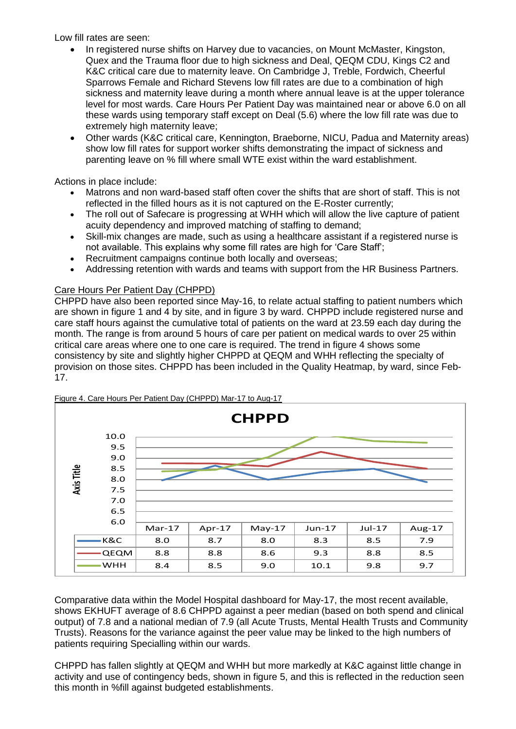Low fill rates are seen:

- In registered nurse shifts on Harvey due to vacancies, on Mount McMaster, Kingston, Quex and the Trauma floor due to high sickness and Deal, QEQM CDU, Kings C2 and K&C critical care due to maternity leave. On Cambridge J, Treble, Fordwich, Cheerful Sparrows Female and Richard Stevens low fill rates are due to a combination of high sickness and maternity leave during a month where annual leave is at the upper tolerance level for most wards. Care Hours Per Patient Day was maintained near or above 6.0 on all these wards using temporary staff except on Deal (5.6) where the low fill rate was due to extremely high maternity leave:
- Other wards (K&C critical care, Kennington, Braeborne, NICU, Padua and Maternity areas) show low fill rates for support worker shifts demonstrating the impact of sickness and parenting leave on % fill where small WTE exist within the ward establishment.

Actions in place include:

- Matrons and non ward-based staff often cover the shifts that are short of staff. This is not reflected in the filled hours as it is not captured on the E-Roster currently;
- The roll out of Safecare is progressing at WHH which will allow the live capture of patient acuity dependency and improved matching of staffing to demand;
- Skill-mix changes are made, such as using a healthcare assistant if a registered nurse is not available. This explains why some fill rates are high for 'Care Staff';
- Recruitment campaigns continue both locally and overseas;
- Addressing retention with wards and teams with support from the HR Business Partners.

# Care Hours Per Patient Day (CHPPD)

CHPPD have also been reported since May-16, to relate actual staffing to patient numbers which are shown in figure 1 and 4 by site, and in figure 3 by ward. CHPPD include registered nurse and care staff hours against the cumulative total of patients on the ward at 23.59 each day during the month. The range is from around 5 hours of care per patient on medical wards to over 25 within critical care areas where one to one care is required. The trend in figure 4 shows some consistency by site and slightly higher CHPPD at QEQM and WHH reflecting the specialty of provision on those sites. CHPPD has been included in the Quality Heatmap, by ward, since Feb-17.



Figure 4. Care Hours Per Patient Day (CHPPD) Mar-17 to Aug-17

Comparative data within the Model Hospital dashboard for May-17, the most recent available, shows EKHUFT average of 8.6 CHPPD against a peer median (based on both spend and clinical output) of 7.8 and a national median of 7.9 (all Acute Trusts, Mental Health Trusts and Community Trusts). Reasons for the variance against the peer value may be linked to the high numbers of patients requiring Specialling within our wards.

CHPPD has fallen slightly at QEQM and WHH but more markedly at K&C against little change in activity and use of contingency beds, shown in figure 5, and this is reflected in the reduction seen this month in %fill against budgeted establishments.